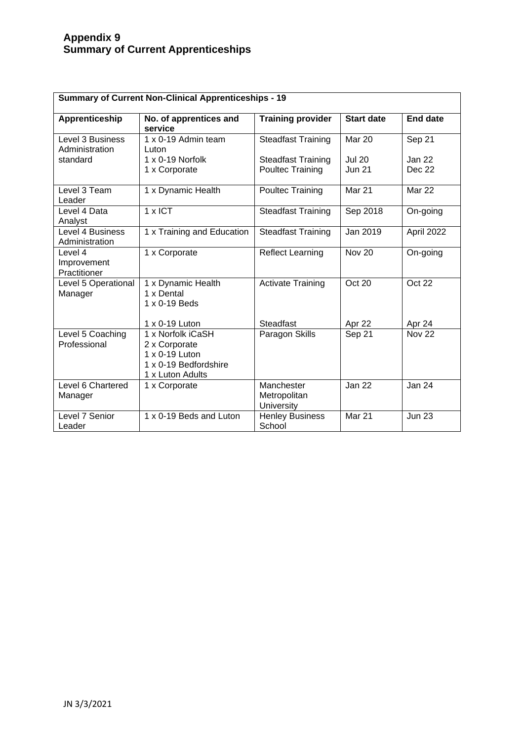## **Appendix 9 Summary of Current Apprenticeships**

| <b>Summary of Current Non-Clinical Apprenticeships - 19</b> |                                                                                                   |                                                      |                                |                         |  |  |  |
|-------------------------------------------------------------|---------------------------------------------------------------------------------------------------|------------------------------------------------------|--------------------------------|-------------------------|--|--|--|
| Apprenticeship                                              | No. of apprentices and<br>service                                                                 | <b>Training provider</b>                             | <b>Start date</b>              | <b>End date</b>         |  |  |  |
| Level 3 Business<br>Administration                          | 1 x 0-19 Admin team<br>Luton                                                                      | <b>Steadfast Training</b>                            | Mar 20                         | Sep 21                  |  |  |  |
| standard                                                    | $1 \times 0 - 19$ Norfolk<br>1 x Corporate                                                        | <b>Steadfast Training</b><br><b>Poultec Training</b> | <b>Jul 20</b><br><b>Jun 21</b> | Jan 22<br><b>Dec 22</b> |  |  |  |
| Level 3 Team<br>Leader                                      | 1 x Dynamic Health                                                                                | <b>Poultec Training</b>                              | <b>Mar 21</b>                  | <b>Mar 22</b>           |  |  |  |
| Level 4 Data<br>Analyst                                     | $1 \times$ ICT                                                                                    | <b>Steadfast Training</b>                            | Sep 2018                       | On-going                |  |  |  |
| Level 4 Business<br>Administration                          | 1 x Training and Education                                                                        | <b>Steadfast Training</b>                            | Jan 2019                       | April 2022              |  |  |  |
| Level 4<br>Improvement<br>Practitioner                      | 1 x Corporate                                                                                     | <b>Reflect Learning</b>                              | <b>Nov 20</b>                  | On-going                |  |  |  |
| Level 5 Operational<br>Manager                              | 1 x Dynamic Health<br>1 x Dental<br>1 x 0-19 Beds                                                 | <b>Activate Training</b>                             | Oct 20                         | Oct 22                  |  |  |  |
|                                                             | 1 x 0-19 Luton                                                                                    | <b>Steadfast</b>                                     | Apr 22                         | Apr 24                  |  |  |  |
| Level 5 Coaching<br>Professional                            | 1 x Norfolk iCaSH<br>2 x Corporate<br>1 x 0-19 Luton<br>1 x 0-19 Bedfordshire<br>1 x Luton Adults | Paragon Skills                                       | Sep 21                         | <b>Nov 22</b>           |  |  |  |
| Level 6 Chartered<br>Manager                                | 1 x Corporate                                                                                     | Manchester<br>Metropolitan<br>University             | Jan 22                         | <b>Jan 24</b>           |  |  |  |
| Level 7 Senior<br>Leader                                    | 1 x 0-19 Beds and Luton                                                                           | <b>Henley Business</b><br>School                     | Mar 21                         | <b>Jun 23</b>           |  |  |  |